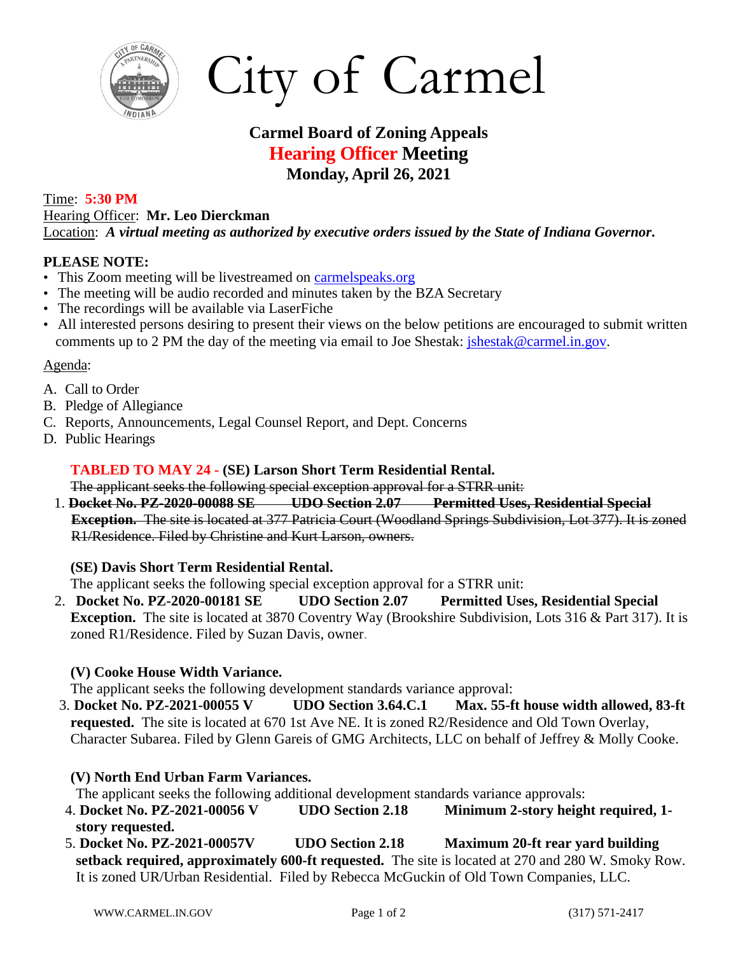

City of Carmel

# **Carmel Board of Zoning Appeals Hearing Officer Meeting Monday, April 26, 2021**

### Time: **5:30 PM**

Hearing Officer: **Mr. Leo Dierckman** Location: *A virtual meeting as authorized by executive orders issued by the State of Indiana Governor***.**

#### **PLEASE NOTE:**

- This Zoom meeting will be livestreamed on [carmelspeaks.org](https://carmelspeaks.org/)
- The meeting will be audio recorded and minutes taken by the BZA Secretary
- The recordings will be available via LaserFiche
- All interested persons desiring to present their views on the below petitions are encouraged to submit written comments up to 2 PM the day of the meeting via email to Joe Shestak: *jshestak@carmel.in.gov.*

#### Agenda:

- A. Call to Order
- B. Pledge of Allegiance
- C. Reports, Announcements, Legal Counsel Report, and Dept. Concerns
- D. Public Hearings

#### **TABLED TO MAY 24 - (SE) Larson Short Term Residential Rental.**

The applicant seeks the following special exception approval for a STRR unit:

1. **Docket No. PZ-2020-00088 SE UDO Section 2.07 Permitted Uses, Residential Special Exception.** The site is located at 377 Patricia Court (Woodland Springs Subdivision, Lot 377). It is zoned R1/Residence. Filed by Christine and Kurt Larson, owners.

## **(SE) Davis Short Term Residential Rental.**

The applicant seeks the following special exception approval for a STRR unit:

2. **Docket No. PZ-2020-00181 SE UDO Section 2.07 Permitted Uses, Residential Special Exception.** The site is located at 3870 Coventry Way (Brookshire Subdivision, Lots 316 & Part 317). It is zoned R1/Residence. Filed by Suzan Davis, owner.

#### **(V) Cooke House Width Variance.**

The applicant seeks the following development standards variance approval:

3. **Docket No. PZ-2021-00055 V UDO Section 3.64.C.1 Max. 55-ft house width allowed, 83-ft requested.** The site is located at 670 1st Ave NE. It is zoned R2/Residence and Old Town Overlay, Character Subarea. Filed by Glenn Gareis of GMG Architects, LLC on behalf of Jeffrey & Molly Cooke.

## **(V) North End Urban Farm Variances.**

The applicant seeks the following additional development standards variance approvals:

- 4. **Docket No. PZ-2021-00056 V UDO Section 2.18 Minimum 2-story height required, 1 story requested.**
- 5. **Docket No. PZ-2021-00057V UDO Section 2.18 Maximum 20-ft rear yard building setback required, approximately 600-ft requested.** The site is located at 270 and 280 W. Smoky Row. It is zoned UR/Urban Residential. Filed by Rebecca McGuckin of Old Town Companies, LLC.